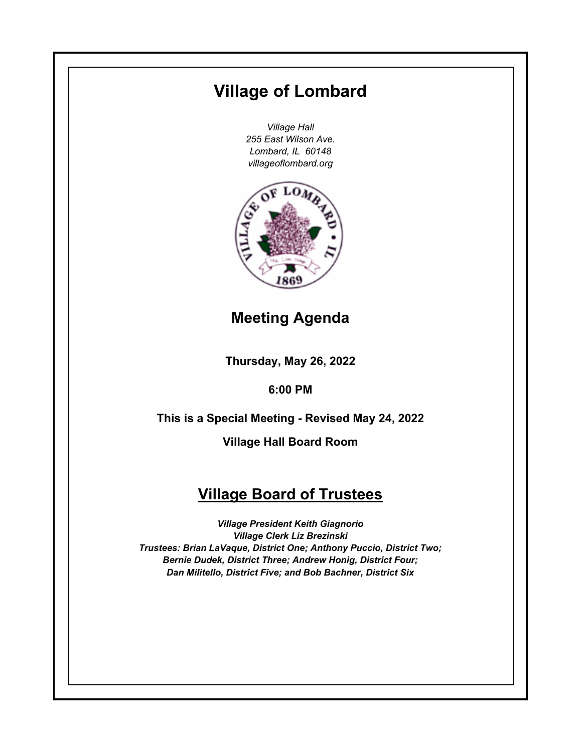# **Village of Lombard**

*Village Hall 255 East Wilson Ave. Lombard, IL 60148 villageoflombard.org*



# **Meeting Agenda**

**Thursday, May 26, 2022**

**6:00 PM**

**This is a Special Meeting - Revised May 24, 2022**

**Village Hall Board Room**

# **Village Board of Trustees**

*Village President Keith Giagnorio Village Clerk Liz Brezinski Trustees: Brian LaVaque, District One; Anthony Puccio, District Two; Bernie Dudek, District Three; Andrew Honig, District Four; Dan Militello, District Five; and Bob Bachner, District Six*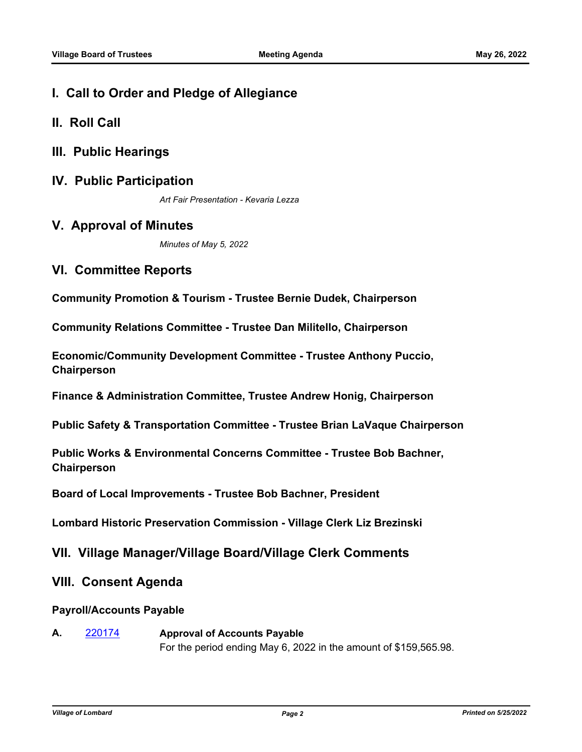# **I. Call to Order and Pledge of Allegiance**

- **II. Roll Call**
- **III. Public Hearings**
- **IV. Public Participation**

*Art Fair Presentation - Kevaria Lezza*

## **V. Approval of Minutes**

*Minutes of May 5, 2022*

# **VI. Committee Reports**

**Community Promotion & Tourism - Trustee Bernie Dudek, Chairperson**

**Community Relations Committee - Trustee Dan Militello, Chairperson**

**Economic/Community Development Committee - Trustee Anthony Puccio, Chairperson**

**Finance & Administration Committee, Trustee Andrew Honig, Chairperson**

**Public Safety & Transportation Committee - Trustee Brian LaVaque Chairperson**

**Public Works & Environmental Concerns Committee - Trustee Bob Bachner, Chairperson**

**Board of Local Improvements - Trustee Bob Bachner, President**

**Lombard Historic Preservation Commission - Village Clerk Liz Brezinski**

## **VII. Village Manager/Village Board/Village Clerk Comments**

### **VIII. Consent Agenda**

#### **Payroll/Accounts Payable**

**A.** [220174](http://lombard.legistar.com/gateway.aspx?m=l&id=/matter.aspx?key=18476) **Approval of Accounts Payable** For the period ending May 6, 2022 in the amount of \$159,565.98.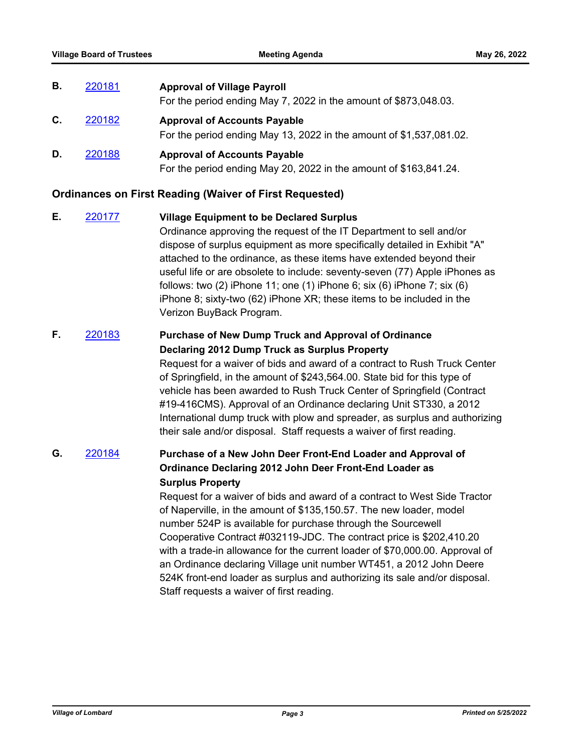| В. | 220181 | <b>Approval of Village Payroll</b>                                                                         |
|----|--------|------------------------------------------------------------------------------------------------------------|
|    |        | For the period ending May 7, 2022 in the amount of \$873,048.03.                                           |
| C. | 220182 | <b>Approval of Accounts Payable</b><br>For the period ending May 13, 2022 in the amount of \$1,537,081.02. |
| D. | 220188 | <b>Approval of Accounts Payable</b><br>For the period ending May 20, 2022 in the amount of \$163,841.24.   |

#### **Ordinances on First Reading (Waiver of First Requested)**

**E.** [220177](http://lombard.legistar.com/gateway.aspx?m=l&id=/matter.aspx?key=18479) **Village Equipment to be Declared Surplus**  Ordinance approving the request of the IT Department to sell and/or dispose of surplus equipment as more specifically detailed in Exhibit "A" attached to the ordinance, as these items have extended beyond their useful life or are obsolete to include: seventy-seven (77) Apple iPhones as follows: two (2) iPhone 11; one (1) iPhone 6; six (6) iPhone 7; six (6) iPhone 8; sixty-two (62) iPhone XR; these items to be included in the Verizon BuyBack Program.

## **F.** [220183](http://lombard.legistar.com/gateway.aspx?m=l&id=/matter.aspx?key=18485) **Purchase of New Dump Truck and Approval of Ordinance Declaring 2012 Dump Truck as Surplus Property**

Request for a waiver of bids and award of a contract to Rush Truck Center of Springfield, in the amount of \$243,564.00. State bid for this type of vehicle has been awarded to Rush Truck Center of Springfield (Contract #19-416CMS). Approval of an Ordinance declaring Unit ST330, a 2012 International dump truck with plow and spreader, as surplus and authorizing their sale and/or disposal. Staff requests a waiver of first reading.

## **G.** [220184](http://lombard.legistar.com/gateway.aspx?m=l&id=/matter.aspx?key=18486) **Purchase of a New John Deer Front-End Loader and Approval of Ordinance Declaring 2012 John Deer Front-End Loader as Surplus Property**

Request for a waiver of bids and award of a contract to West Side Tractor of Naperville, in the amount of \$135,150.57. The new loader, model number 524P is available for purchase through the Sourcewell Cooperative Contract #032119-JDC. The contract price is \$202,410.20 with a trade-in allowance for the current loader of \$70,000.00. Approval of an Ordinance declaring Village unit number WT451, a 2012 John Deere 524K front-end loader as surplus and authorizing its sale and/or disposal. Staff requests a waiver of first reading.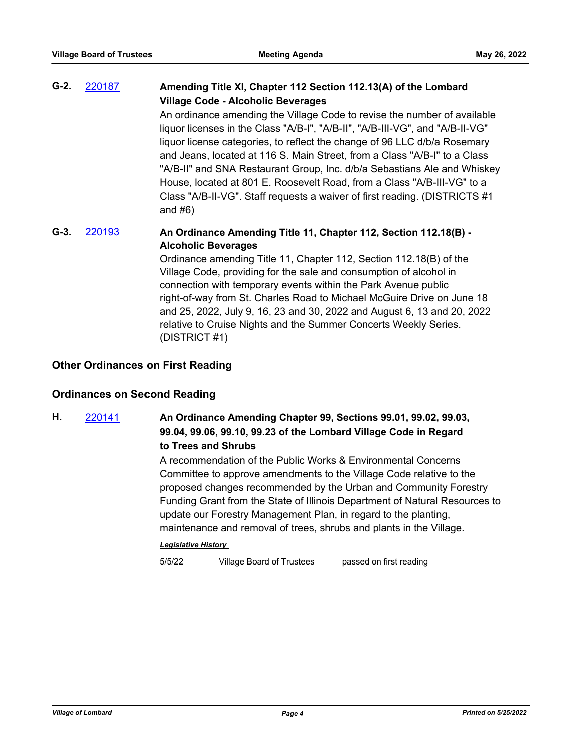| $G-2.$ | 220187 | Amending Title XI, Chapter 112 Section 112.13(A) of the Lombard<br><b>Village Code - Alcoholic Beverages</b>                                                                                                                                                                                                                                                                                                                                                                                                                                                          |
|--------|--------|-----------------------------------------------------------------------------------------------------------------------------------------------------------------------------------------------------------------------------------------------------------------------------------------------------------------------------------------------------------------------------------------------------------------------------------------------------------------------------------------------------------------------------------------------------------------------|
|        |        | An ordinance amending the Village Code to revise the number of available<br>liquor licenses in the Class "A/B-I", "A/B-II", "A/B-III-VG", and "A/B-II-VG"<br>liquor license categories, to reflect the change of 96 LLC d/b/a Rosemary<br>and Jeans, located at 116 S. Main Street, from a Class "A/B-I" to a Class<br>"A/B-II" and SNA Restaurant Group, Inc. d/b/a Sebastians Ale and Whiskey<br>House, located at 801 E. Roosevelt Road, from a Class "A/B-III-VG" to a<br>Class "A/B-II-VG". Staff requests a waiver of first reading. (DISTRICTS #1<br>and $#6)$ |
| $G-3.$ | 220193 | An Ordinance Amending Title 11, Chapter 112, Section 112.18(B) -<br><b>Alcoholic Beverages</b><br>Ordinance amending Title 11, Chapter 112, Section 112.18(B) of the<br>Village Code, providing for the sale and consumption of alcohol in                                                                                                                                                                                                                                                                                                                            |

Village Code, providing for the sale and consumption of alcohol in connection with temporary events within the Park Avenue public right-of-way from St. Charles Road to Michael McGuire Drive on June 18 and 25, 2022, July 9, 16, 23 and 30, 2022 and August 6, 13 and 20, 2022 relative to Cruise Nights and the Summer Concerts Weekly Series. (DISTRICT #1)

#### **Other Ordinances on First Reading**

### **Ordinances on Second Reading**

# **H.** [220141](http://lombard.legistar.com/gateway.aspx?m=l&id=/matter.aspx?key=18443) **An Ordinance Amending Chapter 99, Sections 99.01, 99.02, 99.03, 99.04, 99.06, 99.10, 99.23 of the Lombard Village Code in Regard to Trees and Shrubs**

A recommendation of the Public Works & Environmental Concerns Committee to approve amendments to the Village Code relative to the proposed changes recommended by the Urban and Community Forestry Funding Grant from the State of Illinois Department of Natural Resources to update our Forestry Management Plan, in regard to the planting, maintenance and removal of trees, shrubs and plants in the Village.

#### *Legislative History*

5/5/22 Village Board of Trustees passed on first reading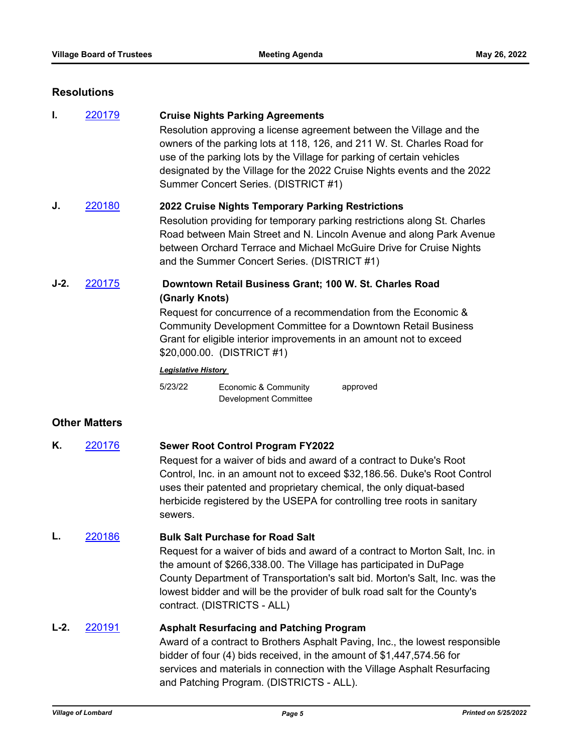#### **Resolutions**

**I.** [220179](http://lombard.legistar.com/gateway.aspx?m=l&id=/matter.aspx?key=18481) **Cruise Nights Parking Agreements** Resolution approving a license agreement between the Village and the owners of the parking lots at 118, 126, and 211 W. St. Charles Road for use of the parking lots by the Village for parking of certain vehicles designated by the Village for the 2022 Cruise Nights events and the 2022 Summer Concert Series. (DISTRICT #1) **J.** [220180](http://lombard.legistar.com/gateway.aspx?m=l&id=/matter.aspx?key=18482) **2022 Cruise Nights Temporary Parking Restrictions** Resolution providing for temporary parking restrictions along St. Charles Road between Main Street and N. Lincoln Avenue and along Park Avenue between Orchard Terrace and Michael McGuire Drive for Cruise Nights and the Summer Concert Series. (DISTRICT #1)

### **J-2.** [220175](http://lombard.legistar.com/gateway.aspx?m=l&id=/matter.aspx?key=18477) **Downtown Retail Business Grant; 100 W. St. Charles Road (Gnarly Knots)**

Request for concurrence of a recommendation from the Economic & Community Development Committee for a Downtown Retail Business Grant for eligible interior improvements in an amount not to exceed \$20,000.00. (DISTRICT #1)

#### *Legislative History*

5/23/22 Economic & Community Development Committee approved

### **Other Matters**

**K.** [220176](http://lombard.legistar.com/gateway.aspx?m=l&id=/matter.aspx?key=18478) **Sewer Root Control Program FY2022** Request for a waiver of bids and award of a contract to Duke's Root Control, Inc. in an amount not to exceed \$32,186.56. Duke's Root Control uses their patented and proprietary chemical, the only diquat-based herbicide registered by the USEPA for controlling tree roots in sanitary sewers.

#### **L.** [220186](http://lombard.legistar.com/gateway.aspx?m=l&id=/matter.aspx?key=18488) **Bulk Salt Purchase for Road Salt**

Request for a waiver of bids and award of a contract to Morton Salt, Inc. in the amount of \$266,338.00. The Village has participated in DuPage County Department of Transportation's salt bid. Morton's Salt, Inc. was the lowest bidder and will be the provider of bulk road salt for the County's contract. (DISTRICTS - ALL)

# **L-2.** [220191](http://lombard.legistar.com/gateway.aspx?m=l&id=/matter.aspx?key=18493) **Asphalt Resurfacing and Patching Program** Award of a contract to Brothers Asphalt Paving, Inc., the lowest responsible

bidder of four (4) bids received, in the amount of \$1,447,574.56 for services and materials in connection with the Village Asphalt Resurfacing and Patching Program. (DISTRICTS - ALL).